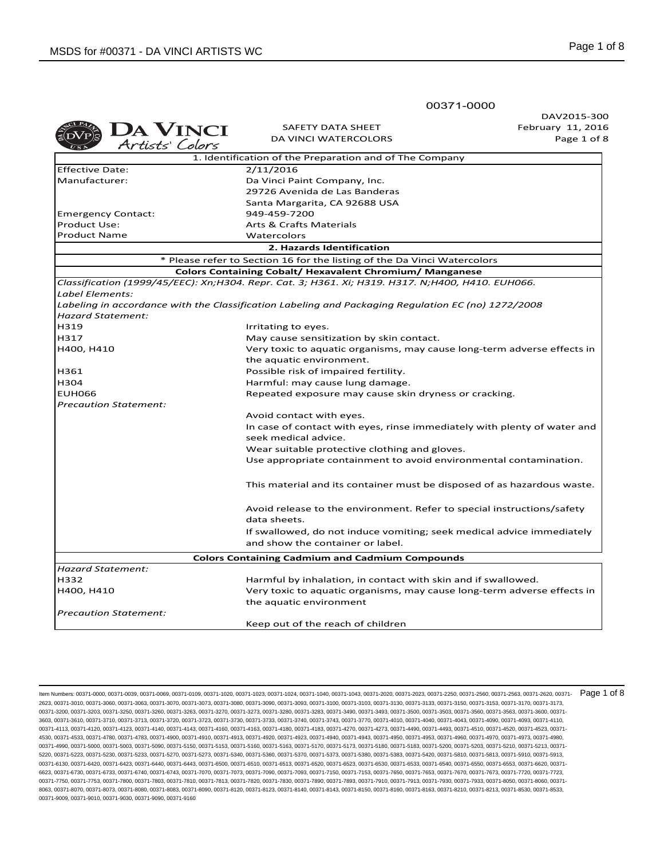**DA VINCI** SAFETY DATA SHEET DA VINCI WATERCOLORS Page 1 of 8 Artists' Colors 1. Identification of the Preparation and of The Company Effective Date: 2/11/2016 Manufacturer: Da Vinci Paint Company, Inc. 29726 Avenida de Las Banderas Santa Margarita, CA 92688 USA Emergency Contact: 949-459-7200 Product Use: The Contract Materials Arts & Crafts Materials Product Name Watercolors **2. Hazards Identification** \* Please refer to Section 16 for the listing of the Da Vinci Watercolors **Colors Containing Cobalt/ Hexavalent Chromium/ Manganese** *Classification (1999/45/EEC): Xn;H304. Repr. Cat. 3; H361. Xi; H319. H317. N;H400, H410. EUH066. Label Elements: Labeling in accordance with the Classification Labeling and Packaging Regulation EC (no) 1272/2008 Hazard Statement:* H319 **Interval and Allen Contracts** Irritating to eyes. H317 May cause sensitization by skin contact. H400, H410 Very toxic to aquatic organisms, may cause long-term adverse effects in the aquatic environment. H361 Possible risk of impaired fertility. H304 Harmful: may cause lung damage. Repeated exposure may cause skin dryness or cracking. *Precaution Statement:*  Avoid contact with eyes. In case of contact with eyes, rinse immediately with plenty of water and seek medical advice. Wear suitable protective clothing and gloves. Use appropriate containment to avoid environmental contamination. This material and its container must be disposed of as hazardous waste. Avoid release to the environment. Refer to special instructions/safety data sheets. If swallowed, do not induce vomiting; seek medical advice immediately and show the container or label. **Colors Containing Cadmium and Cadmium Compounds** *Hazard Statement:* H332 Harmful by inhalation, in contact with skin and if swallowed. H400, H410 Very toxic to aquatic organisms, may cause long-term adverse effects in the aquatic environment *Precaution Statement:*  Keep out of the reach of children

00371-0000

DAV2015-300 February 11, 2016

ltem Numbers: 00371-0000, 00371-0039, 00371-0069, 00371-0109, 00371-1020, 00371-1023, 00371-1024, 00371-1040, 00371-2020, 00371-2020, 00371-2023, 00371-2250, 00371-2560, 00371-2563, 00371-25620, 00371-2680, 00371-2680, 003 2623, 00371-3010, 00371-3060, 00371-3063, 00371-3070, 00371-3073, 00371-3080, 00371-3090, 00371-3093, 00371-3100, 00371-3103, 00371-3130, 00371-3133, 00371-3150, 00371-3153, 00371-3170, 00371-3173, 00371-3200, 00371-3203, 00371-3250, 00371-3260, 00371-3263, 00371-3270, 00371-3273, 00371-3280, 00371-3283, 00371-3490, 00371-3493, 00371-3500, 00371-3503, 00371-3560, 00371-3563, 00371-3600, 00371- 3603, 00371-3610, 00371-3710, 00371-3713, 00371-3720, 00371-3723, 00371-3730, 00371-3733, 00371-3740, 00371-3743, 00371-3770, 00371-4010, 00371-4040, 00371-4043, 00371-4090, 00371-4093, 00371-4110, 00371-4113, 00371-4120, 00371-4123, 00371-4140, 00371-4143, 00371-4160, 00371-4163, 00371-4180, 00371-4183, 00371-4270, 00371-4273, 00371-4490, 00371-4493, 00371-4510, 00371-4520, 00371-4523, 00371- 4530, 00371-4533, 00371-4780, 00371-4783, 00371-4900, 00371-4910, 00371-4913, 00371-4920, 00371-4923, 00371-4940, 00371-4943, 00371-4950, 00371-4953, 00371-4960, 00371-4970, 00371-4973, 00371-4980, 00371-4990, 00371-5000, 00371-5003, 00371-5090, 00371-5150, 00371-5153, 00371-5163, 00371-5170, 00371-5173, 00371-5183, 00371-5183, 00371-5200, 00371-5203, 00371-5213, 00371-5213, 00371-5120, 00371-5210, 00371-5213, 00371-5 5220, 00371-5223, 00371-5230, 00371-5233, 00371-5270, 00371-5273, 00371-5340, 00371-5360, 00371-5370, 00371-5373, 00371-5380, 00371-5383, 00371-5420, 00371-5810, 00371-5813, 00371-5910, 00371-5913, 00371-6130, 00371-6420, 00371-6423, 00371-6440, 00371-6443, 00371-6500, 00371-6510, 00371-6520, 00371-6520, 00371-6530, 00371-6533, 00371-6540, 00371-6540, 00371-6550, 00371-6520, 00371-6520, 00371-6520, 00371-6520, 00371-6 6623, 00371-6730, 00371-6733, 00371-6740, 00371-6743, 00371-7070, 00371-7073, 00371-7090, 00371-7093, 00371-7150, 00371-7153, 00371-7650, 00371-7653, 00371-7653, 00371-7670, 00371-7673, 00371-762, 00371-763, 00371-763, 0037 00371-7750, 00371-7753, 00371-7800, 00371-7803, 00371-7810, 00371-7813, 00371-7820, 00371-7830, 00371-7890, 00371-7893, 00371-7910, 00371-7913, 00371-7930, 00371-7933, 00371-8050, 00371-8060, 00371- 8063, 00371-8070, 00371-8073, 00371-8080, 00371-8083, 00371-8090, 00371-8120, 00371-8123, 00371-8140, 00371-8143, 00371-8150, 00371-8160, 00371-8163, 00371-8210, 00371-8213, 00371-8530, 00371-8533, 00371-9009, 00371-9010, 00371-9030, 00371-9090, 00371-9160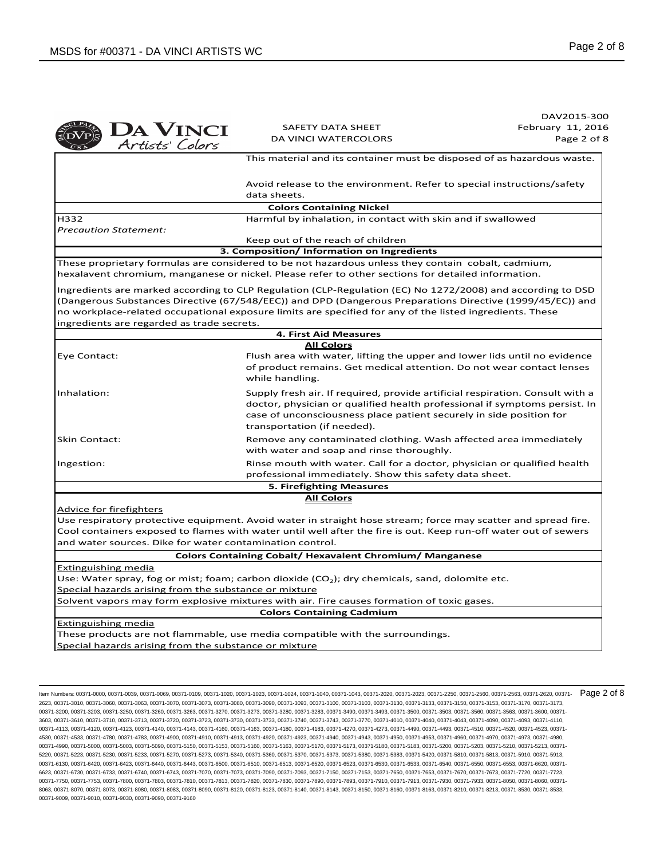|                                                                                            |                                                                                                                                                                                                                                                                                                                                     | DAV2015-300       |
|--------------------------------------------------------------------------------------------|-------------------------------------------------------------------------------------------------------------------------------------------------------------------------------------------------------------------------------------------------------------------------------------------------------------------------------------|-------------------|
|                                                                                            | SAFETY DATA SHEET                                                                                                                                                                                                                                                                                                                   | February 11, 2016 |
| DA VINCI<br>Artists' Colors                                                                | DA VINCI WATERCOLORS                                                                                                                                                                                                                                                                                                                | Page 2 of 8       |
|                                                                                            | This material and its container must be disposed of as hazardous waste.                                                                                                                                                                                                                                                             |                   |
|                                                                                            | Avoid release to the environment. Refer to special instructions/safety<br>data sheets.                                                                                                                                                                                                                                              |                   |
|                                                                                            | <b>Colors Containing Nickel</b>                                                                                                                                                                                                                                                                                                     |                   |
| H332                                                                                       | Harmful by inhalation, in contact with skin and if swallowed                                                                                                                                                                                                                                                                        |                   |
| <b>Precaution Statement:</b>                                                               |                                                                                                                                                                                                                                                                                                                                     |                   |
|                                                                                            | Keep out of the reach of children                                                                                                                                                                                                                                                                                                   |                   |
|                                                                                            | 3. Composition/ Information on Ingredients                                                                                                                                                                                                                                                                                          |                   |
|                                                                                            | These proprietary formulas are considered to be not hazardous unless they contain cobalt, cadmium,<br>hexalavent chromium, manganese or nickel. Please refer to other sections for detailed information.                                                                                                                            |                   |
| ingredients are regarded as trade secrets.                                                 | Ingredients are marked according to CLP Regulation (CLP-Regulation (EC) No 1272/2008) and according to DSD<br>(Dangerous Substances Directive (67/548/EEC)) and DPD (Dangerous Preparations Directive (1999/45/EC)) and<br>no workplace-related occupational exposure limits are specified for any of the listed ingredients. These |                   |
|                                                                                            | <b>4. First Aid Measures</b>                                                                                                                                                                                                                                                                                                        |                   |
|                                                                                            | <b>All Colors</b>                                                                                                                                                                                                                                                                                                                   |                   |
| Eye Contact:                                                                               | Flush area with water, lifting the upper and lower lids until no evidence<br>of product remains. Get medical attention. Do not wear contact lenses<br>while handling.                                                                                                                                                               |                   |
| Inhalation:                                                                                | Supply fresh air. If required, provide artificial respiration. Consult with a<br>doctor, physician or qualified health professional if symptoms persist. In<br>case of unconsciousness place patient securely in side position for<br>transportation (if needed).                                                                   |                   |
| <b>Skin Contact:</b>                                                                       | Remove any contaminated clothing. Wash affected area immediately<br>with water and soap and rinse thoroughly.                                                                                                                                                                                                                       |                   |
| Ingestion:                                                                                 | Rinse mouth with water. Call for a doctor, physician or qualified health<br>professional immediately. Show this safety data sheet.                                                                                                                                                                                                  |                   |
|                                                                                            | 5. Firefighting Measures                                                                                                                                                                                                                                                                                                            |                   |
|                                                                                            | <b>All Colors</b>                                                                                                                                                                                                                                                                                                                   |                   |
| <u>Advice for firefighters</u><br>and water sources. Dike for water contamination control. | Use respiratory protective equipment. Avoid water in straight hose stream; force may scatter and spread fire.<br>Cool containers exposed to flames with water until well after the fire is out. Keep run-off water out of sewers                                                                                                    |                   |
|                                                                                            | <b>Colors Containing Cobalt/ Hexavalent Chromium/ Manganese</b>                                                                                                                                                                                                                                                                     |                   |
| Extinguishing media                                                                        |                                                                                                                                                                                                                                                                                                                                     |                   |
|                                                                                            | Use: Water spray, fog or mist; foam; carbon dioxide ( $CO2$ ); dry chemicals, sand, dolomite etc.                                                                                                                                                                                                                                   |                   |
| Special hazards arising from the substance or mixture                                      |                                                                                                                                                                                                                                                                                                                                     |                   |
|                                                                                            | Solvent vapors may form explosive mixtures with air. Fire causes formation of toxic gases.                                                                                                                                                                                                                                          |                   |
|                                                                                            | <b>Colors Containing Cadmium</b>                                                                                                                                                                                                                                                                                                    |                   |
| <b>Extinguishing media</b>                                                                 |                                                                                                                                                                                                                                                                                                                                     |                   |
|                                                                                            | These products are not flammable, use media compatible with the surroundings.                                                                                                                                                                                                                                                       |                   |
| Special hazards arising from the substance or mixture                                      |                                                                                                                                                                                                                                                                                                                                     |                   |

ltem Numbers: 00371-0000, 00371-0039, 00371-0069, 00371-0109, 00371-1020, 00371-1023, 00371-1024, 00371-1040, 00371-2020, 00371-2020, 00371-2023, 00371-2250, 00371-2560, 00371-2563, 00371-25620, 00371-2680, 00371-2680, 003 2623, 00371-3010, 00371-3060, 00371-3063, 00371-3070, 00371-3073, 00371-3080, 00371-3090, 00371-3093, 00371-3100, 00371-3103, 00371-3130, 00371-3133, 00371-3150, 00371-3153, 00371-3170, 00371-3173, 00371-3200, 00371-3203, 00371-3250, 00371-3260, 00371-3263, 00371-3270, 00371-3273, 00371-3280, 00371-3283, 00371-3490, 00371-3493, 00371-3500, 00371-3503, 00371-3560, 00371-3563, 00371-3600, 00371- 3603, 00371-3610, 00371-3710, 00371-3713, 00371-3720, 00371-3723, 00371-3730, 00371-3733, 00371-3740, 00371-3743, 00371-3770, 00371-4010, 00371-4040, 00371-4043, 00371-4090, 00371-4093, 00371-4110, 00371-4113, 00371-4120, 00371-4123, 00371-4140, 00371-4143, 00371-4160, 00371-4163, 00371-4183, 00371-4183, 00371-4270, 00371-4273, 00371-4430, 00371-4493, 00371-4510, 00371-4520, 00371-4523, 00371-4520, 00371-4523, 00371-4 4530, 00371-4533, 00371-4780, 00371-4783, 00371-4900, 00371-4910, 00371-4913, 00371-4920, 00371-4923, 00371-4940, 00371-4943, 00371-4950, 00371-4953, 00371-4960, 00371-4970, 00371-4973, 00371-4980, 00371-4990, 00371-5000, 00371-5003, 00371-5090, 00371-5150, 00371-5153, 00371-5160, 00371-5163, 00371-5170, 00371-5173, 00371-5180, 00371-5183, 00371-5200, 00371-5203, 00371-5210, 00371-5213, 00371- 5220, 00371-5223, 00371-5230, 00371-5233, 00371-5270, 00371-5273, 00371-5340, 00371-5360, 00371-5370, 00371-5373, 00371-5380, 00371-5383, 00371-5420, 00371-5810, 00371-5813, 00371-5910, 00371-5913, 00371-6130, 00371-6420, 00371-6423, 00371-6440, 00371-6443, 00371-6500, 00371-6510, 00371-6530, 00371-6520, 00371-6530, 00371-6533, 00371-6540, 00371-6550, 00371-6550, 00371-6580, 00371-6539, 00371-6540, 00371-6540, 00371-6 6623, 00371-6730, 00371-6733, 00371-6740, 00371-6743, 00371-7070, 00371-7073, 00371-7090, 00371-7093, 00371-7150, 00371-7153, 00371-7650, 00371-7653, 00371-670, 00371-7673, 00371-7720, 00371-763, 00371-7873, 00371-7720, 003 00371-7750, 00371-7753, 00371-7800, 00371-7803, 00371-7810, 00371-7813, 00371-7820, 00371-7830, 00371-7890, 00371-7893, 00371-7910, 00371-7913, 00371-7930, 00371-7933, 00371-8050, 00371-8060, 00371- 8063, 00371-8070, 00371-8073, 00371-8080, 00371-8083, 00371-8090, 00371-8120, 00371-8123, 00371-8140, 00371-8143, 00371-8150, 00371-8160, 00371-8163, 00371-8210, 00371-8213, 00371-8530, 00371-8533, 00371-9009, 00371-9010, 00371-9030, 00371-9090, 00371-9160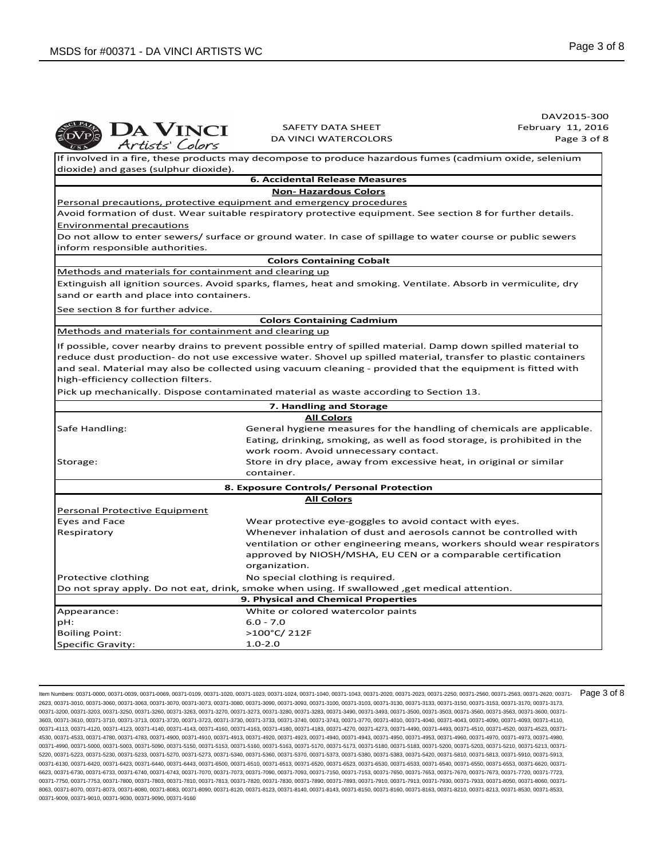|                                                       |                                                                                                                                                                                                                                                                                                                        | DAV2015-300       |
|-------------------------------------------------------|------------------------------------------------------------------------------------------------------------------------------------------------------------------------------------------------------------------------------------------------------------------------------------------------------------------------|-------------------|
|                                                       | <b>SAFETY DATA SHEET</b>                                                                                                                                                                                                                                                                                               | February 11, 2016 |
| DA VINCI<br>Artists' Colors                           | <b>DA VINCI WATERCOLORS</b>                                                                                                                                                                                                                                                                                            | Page 3 of 8       |
|                                                       | If involved in a fire, these products may decompose to produce hazardous fumes (cadmium oxide, selenium                                                                                                                                                                                                                |                   |
| dioxide) and gases (sulphur dioxide).                 |                                                                                                                                                                                                                                                                                                                        |                   |
|                                                       | <b>6. Accidental Release Measures</b>                                                                                                                                                                                                                                                                                  |                   |
|                                                       | <b>Non-Hazardous Colors</b>                                                                                                                                                                                                                                                                                            |                   |
|                                                       | Personal precautions, protective equipment and emergency procedures                                                                                                                                                                                                                                                    |                   |
|                                                       | Avoid formation of dust. Wear suitable respiratory protective equipment. See section 8 for further details.                                                                                                                                                                                                            |                   |
| <b>Environmental precautions</b>                      |                                                                                                                                                                                                                                                                                                                        |                   |
| inform responsible authorities.                       | Do not allow to enter sewers/ surface or ground water. In case of spillage to water course or public sewers                                                                                                                                                                                                            |                   |
|                                                       | <b>Colors Containing Cobalt</b>                                                                                                                                                                                                                                                                                        |                   |
| Methods and materials for containment and clearing up |                                                                                                                                                                                                                                                                                                                        |                   |
| sand or earth and place into containers.              | Extinguish all ignition sources. Avoid sparks, flames, heat and smoking. Ventilate. Absorb in vermiculite, dry                                                                                                                                                                                                         |                   |
| See section 8 for further advice.                     |                                                                                                                                                                                                                                                                                                                        |                   |
|                                                       | <b>Colors Containing Cadmium</b>                                                                                                                                                                                                                                                                                       |                   |
| Methods and materials for containment and clearing up |                                                                                                                                                                                                                                                                                                                        |                   |
| high-efficiency collection filters.                   | reduce dust production- do not use excessive water. Shovel up spilled material, transfer to plastic containers<br>and seal. Material may also be collected using vacuum cleaning - provided that the equipment is fitted with<br>Pick up mechanically. Dispose contaminated material as waste according to Section 13. |                   |
|                                                       | 7. Handling and Storage                                                                                                                                                                                                                                                                                                |                   |
|                                                       | <b>All Colors</b>                                                                                                                                                                                                                                                                                                      |                   |
| Safe Handling:                                        | General hygiene measures for the handling of chemicals are applicable.<br>Eating, drinking, smoking, as well as food storage, is prohibited in the<br>work room. Avoid unnecessary contact.                                                                                                                            |                   |
| Storage:                                              | Store in dry place, away from excessive heat, in original or similar                                                                                                                                                                                                                                                   |                   |
|                                                       | container.                                                                                                                                                                                                                                                                                                             |                   |
|                                                       | 8. Exposure Controls/ Personal Protection                                                                                                                                                                                                                                                                              |                   |
|                                                       | <b>All Colors</b>                                                                                                                                                                                                                                                                                                      |                   |
| <b>Personal Protective Equipment</b>                  |                                                                                                                                                                                                                                                                                                                        |                   |
| Eyes and Face                                         | Wear protective eye-goggles to avoid contact with eyes.                                                                                                                                                                                                                                                                |                   |
| Respiratory                                           | Whenever inhalation of dust and aerosols cannot be controlled with<br>ventilation or other engineering means, workers should wear respirators<br>approved by NIOSH/MSHA, EU CEN or a comparable certification<br>organization.                                                                                         |                   |
| Protective clothing                                   | No special clothing is required.                                                                                                                                                                                                                                                                                       |                   |
|                                                       | Do not spray apply. Do not eat, drink, smoke when using. If swallowed , get medical attention.                                                                                                                                                                                                                         |                   |
|                                                       | 9. Physical and Chemical Properties                                                                                                                                                                                                                                                                                    |                   |
| Appearance:                                           | White or colored watercolor paints                                                                                                                                                                                                                                                                                     |                   |
| pH:                                                   | $6.0 - 7.0$                                                                                                                                                                                                                                                                                                            |                   |
|                                                       |                                                                                                                                                                                                                                                                                                                        |                   |
| <b>Boiling Point:</b>                                 | >100°C/212F                                                                                                                                                                                                                                                                                                            |                   |

ltem Numbers: 00371-0000, 00371-0039, 00371-0069, 00371-0109, 00371-1020, 00371-1023, 00371-1024, 00371-1040, 00371-2020, 00371-2020, 00371-2023, 00371-2250, 00371-2560, 00371-2563, 00371-25620, 00371-2680, 00371-2680, 003 2623, 00371-3010, 00371-3060, 00371-3063, 00371-3070, 00371-3073, 00371-3080, 00371-3090, 00371-3093, 00371-3100, 00371-3103, 00371-3130, 00371-3133, 00371-3150, 00371-3153, 00371-3170, 00371-3173, 00371-3200, 00371-3203, 00371-3250, 00371-3260, 00371-3263, 00371-3270, 00371-3273, 00371-3280, 00371-3283, 00371-3490, 00371-3493, 00371-3500, 00371-3503, 00371-3560, 00371-3563, 00371-3600, 00371- 3603, 00371-3610, 00371-3710, 00371-3713, 00371-3720, 00371-3723, 00371-3730, 00371-3733, 00371-3740, 00371-3743, 00371-3770, 00371-4010, 00371-4040, 00371-4043, 00371-4090, 00371-4093, 00371-4110, 00371-4113, 00371-4120, 00371-4123, 00371-4140, 00371-4143, 00371-4160, 00371-4163, 00371-4183, 00371-4183, 00371-4270, 00371-4273, 00371-4430, 00371-4493, 00371-4510, 00371-4520, 00371-4523, 00371-4520, 00371-4523, 00371-4 4530, 00371-4533, 00371-4780, 00371-4783, 00371-4900, 00371-4910, 00371-4913, 00371-4920, 00371-4923, 00371-4940, 00371-4943, 00371-4950, 00371-4953, 00371-4960, 00371-4970, 00371-4973, 00371-4980, 00371-4990, 00371-5000, 00371-5003, 00371-5090, 00371-5150, 00371-5153, 00371-5160, 00371-5163, 00371-5170, 00371-5173, 00371-5180, 00371-5183, 00371-5200, 00371-5203, 00371-5210, 00371-5213, 00371- 5220, 00371-5223, 00371-5230, 00371-5233, 00371-5270, 00371-5273, 00371-5340, 00371-5360, 00371-5370, 00371-5373, 00371-5380, 00371-5383, 00371-5420, 00371-5810, 00371-5813, 00371-5910, 00371-5913, 00371-6130, 00371-6420, 00371-6423, 00371-6440, 00371-6443, 00371-6500, 00371-6510, 00371-6530, 00371-6520, 00371-6530, 00371-6533, 00371-6540, 00371-6550, 00371-6550, 00371-6580, 00371-6539, 00371-6540, 00371-6540, 00371-6 6623, 00371-6730, 00371-6733, 00371-6740, 00371-6743, 00371-7070, 00371-7073, 00371-7090, 00371-7093, 00371-7150, 00371-7153, 00371-7650, 00371-7653, 00371-670, 00371-7673, 00371-7720, 00371-763, 00371-7873, 00371-7720, 003 00371-7750, 00371-7753, 00371-7800, 00371-7803, 00371-7810, 00371-7813, 00371-7820, 00371-7830, 00371-7890, 00371-7893, 00371-7910, 00371-7913, 00371-7930, 00371-7933, 00371-8050, 00371-8060, 00371- 8063, 00371-8070, 00371-8073, 00371-8080, 00371-8083, 00371-8090, 00371-8120, 00371-8123, 00371-8140, 00371-8143, 00371-8150, 00371-8160, 00371-8163, 00371-8210, 00371-8213, 00371-8530, 00371-8533, 00371-9009, 00371-9010, 00371-9030, 00371-9090, 00371-9160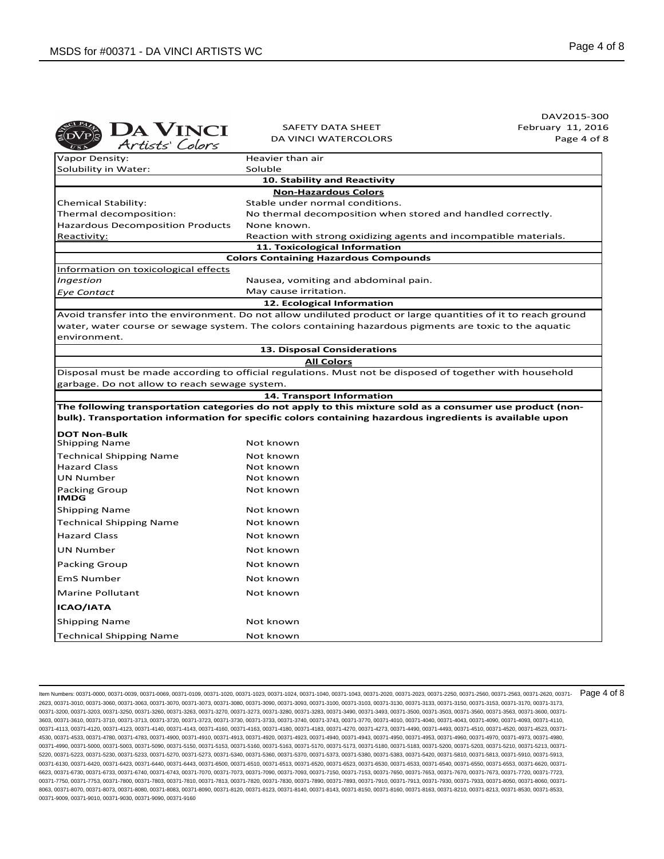|                                               |                                                                                                               | DAV2015-300       |
|-----------------------------------------------|---------------------------------------------------------------------------------------------------------------|-------------------|
| <b>DA VINCI</b>                               | SAFETY DATA SHEET                                                                                             | February 11, 2016 |
| Artists' Colors                               | <b>DA VINCI WATERCOLORS</b>                                                                                   | Page 4 of 8       |
| Vapor Density:                                | Heavier than air                                                                                              |                   |
| Solubility in Water:                          | Soluble                                                                                                       |                   |
|                                               | 10. Stability and Reactivity                                                                                  |                   |
|                                               | <b>Non-Hazardous Colors</b>                                                                                   |                   |
| Chemical Stability:                           | Stable under normal conditions.                                                                               |                   |
| Thermal decomposition:                        | No thermal decomposition when stored and handled correctly.                                                   |                   |
| <b>Hazardous Decomposition Products</b>       | None known.                                                                                                   |                   |
| Reactivity:                                   | Reaction with strong oxidizing agents and incompatible materials.<br>11. Toxicological Information            |                   |
|                                               | <b>Colors Containing Hazardous Compounds</b>                                                                  |                   |
| Information on toxicological effects          |                                                                                                               |                   |
| Ingestion                                     | Nausea, vomiting and abdominal pain.                                                                          |                   |
| Eye Contact                                   | May cause irritation.                                                                                         |                   |
|                                               | 12. Ecological Information                                                                                    |                   |
|                                               | Avoid transfer into the environment. Do not allow undiluted product or large quantities of it to reach ground |                   |
|                                               | water, water course or sewage system. The colors containing hazardous pigments are toxic to the aquatic       |                   |
| environment.                                  |                                                                                                               |                   |
|                                               | 13. Disposal Considerations                                                                                   |                   |
|                                               | <b>All Colors</b>                                                                                             |                   |
|                                               | Disposal must be made according to official regulations. Must not be disposed of together with household      |                   |
| garbage. Do not allow to reach sewage system. | 14. Transport Information                                                                                     |                   |
|                                               | The following transportation categories do not apply to this mixture sold as a consumer use product (non-     |                   |
|                                               | bulk). Transportation information for specific colors containing hazardous ingredients is available upon      |                   |
| <b>DOT Non-Bulk</b>                           |                                                                                                               |                   |
| <b>Shipping Name</b>                          | Not known                                                                                                     |                   |
| <b>Technical Shipping Name</b>                | Not known                                                                                                     |                   |
| <b>Hazard Class</b>                           | Not known                                                                                                     |                   |
| UN Number                                     | Not known                                                                                                     |                   |
| <b>Packing Group</b><br><b>IMDG</b>           | Not known                                                                                                     |                   |
| <b>Shipping Name</b>                          | Not known                                                                                                     |                   |
| <b>Technical Shipping Name</b>                | Not known                                                                                                     |                   |
| <b>Hazard Class</b>                           | Not known                                                                                                     |                   |
| UN Number                                     | Not known                                                                                                     |                   |
| Packing Group                                 | Not known                                                                                                     |                   |
| <b>EmS Number</b>                             | Not known                                                                                                     |                   |
| <b>Marine Pollutant</b>                       | Not known                                                                                                     |                   |
| <b>ICAO/IATA</b>                              |                                                                                                               |                   |
| <b>Shipping Name</b>                          | Not known                                                                                                     |                   |
| <b>Technical Shipping Name</b>                | Not known                                                                                                     |                   |

ltem Numbers: 00371-0000, 00371-0039, 00371-0069, 00371-0109, 00371-1020, 00371-1023, 00371-1024, 00371-1040, 00371-2020, 00371-2020, 00371-2023, 00371-2250, 00371-2560, 00371-2563, 00371-25620, 00371-2680, 00371-2680, 003 2623, 00371-3010, 00371-3060, 00371-3063, 00371-3070, 00371-3073, 00371-3080, 00371-3090, 00371-3093, 00371-3100, 00371-3103, 00371-3130, 00371-3133, 00371-3150, 00371-3153, 00371-3170, 00371-3173, 00371-3200, 00371-3203, 00371-3250, 00371-3260, 00371-3263, 00371-3270, 00371-3273, 00371-3280, 00371-3283, 00371-3490, 00371-3493, 00371-3500, 00371-3503, 00371-3560, 00371-3563, 00371-3600, 00371- 3603, 00371-3610, 00371-3710, 00371-3713, 00371-3720, 00371-3723, 00371-3730, 00371-3733, 00371-3740, 00371-3743, 00371-3770, 00371-4010, 00371-4040, 00371-4043, 00371-4090, 00371-4093, 00371-4110, 00371-4113, 00371-4120, 00371-4123, 00371-4140, 00371-4143, 00371-4160, 00371-4163, 00371-4183, 00371-4183, 00371-4270, 00371-4273, 00371-4430, 00371-4493, 00371-4510, 00371-4520, 00371-4523, 00371-4520, 00371-4523, 00371-4 4530, 00371-4533, 00371-4780, 00371-4783, 00371-4900, 00371-4910, 00371-4913, 00371-4920, 00371-4923, 00371-4940, 00371-4943, 00371-4950, 00371-4953, 00371-4960, 00371-4970, 00371-4973, 00371-4980, 00371-4990, 00371-5000, 00371-5003, 00371-5090, 00371-5150, 00371-5153, 00371-5160, 00371-5163, 00371-5170, 00371-5173, 00371-5180, 00371-5183, 00371-5200, 00371-5203, 00371-5210, 00371-5213, 00371- 5220, 00371-5223, 00371-5230, 00371-5233, 00371-5270, 00371-5273, 00371-5340, 00371-5360, 00371-5370, 00371-5373, 00371-5380, 00371-5383, 00371-5420, 00371-5810, 00371-5813, 00371-5910, 00371-5913, 00371-6130, 00371-6420, 00371-6423, 00371-6440, 00371-6443, 00371-6500, 00371-6510, 00371-6530, 00371-6520, 00371-6530, 00371-6533, 00371-6540, 00371-6550, 00371-6550, 00371-6580, 00371-6539, 00371-6540, 00371-6540, 00371-6 6623, 00371-6730, 00371-6733, 00371-6740, 00371-6743, 00371-7070, 00371-7073, 00371-7090, 00371-7093, 00371-7150, 00371-7153, 00371-7650, 00371-7653, 00371-670, 00371-7673, 00371-7720, 00371-763, 00371-7873, 00371-7720, 003 00371-7750, 00371-7753, 00371-7800, 00371-7803, 00371-7810, 00371-7813, 00371-7820, 00371-7830, 00371-7890, 00371-7893, 00371-7910, 00371-7913, 00371-7930, 00371-7933, 00371-8050, 00371-8060, 00371- 8063, 00371-8070, 00371-8073, 00371-8080, 00371-8083, 00371-8090, 00371-8120, 00371-8123, 00371-8140, 00371-8143, 00371-8150, 00371-8160, 00371-8163, 00371-8210, 00371-8213, 00371-8530, 00371-8533, 00371-9009, 00371-9010, 00371-9030, 00371-9090, 00371-9160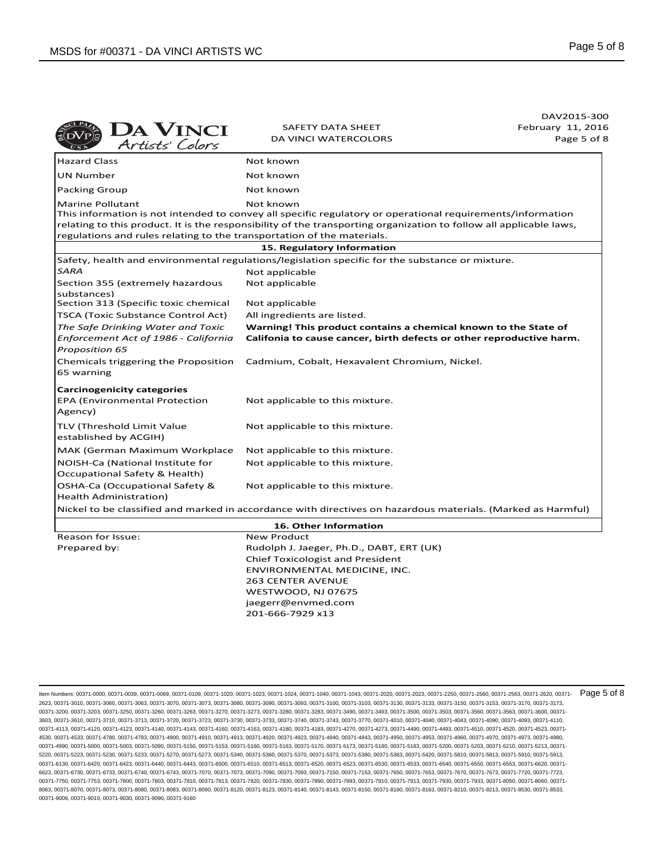|                                                                                             |                                                                                                                                                                                                                                               | DAV2015-300       |
|---------------------------------------------------------------------------------------------|-----------------------------------------------------------------------------------------------------------------------------------------------------------------------------------------------------------------------------------------------|-------------------|
|                                                                                             | SAFETY DATA SHEET                                                                                                                                                                                                                             | February 11, 2016 |
| DA VINCI<br>Artists Colors                                                                  | <b>DA VINCI WATERCOLORS</b>                                                                                                                                                                                                                   | Page 5 of 8       |
| <b>Hazard Class</b>                                                                         | Not known                                                                                                                                                                                                                                     |                   |
| <b>UN Number</b>                                                                            | Not known                                                                                                                                                                                                                                     |                   |
| Packing Group                                                                               | Not known                                                                                                                                                                                                                                     |                   |
| Marine Pollutant<br>regulations and rules relating to the transportation of the materials.  | Not known<br>This information is not intended to convey all specific regulatory or operational requirements/information<br>relating to this product. It is the responsibility of the transporting organization to follow all applicable laws, |                   |
|                                                                                             | 15. Regulatory Information                                                                                                                                                                                                                    |                   |
|                                                                                             | Safety, health and environmental regulations/legislation specific for the substance or mixture.                                                                                                                                               |                   |
| SARA                                                                                        | Not applicable                                                                                                                                                                                                                                |                   |
| Section 355 (extremely hazardous<br>substances)                                             | Not applicable                                                                                                                                                                                                                                |                   |
| Section 313 (Specific toxic chemical                                                        | Not applicable                                                                                                                                                                                                                                |                   |
| TSCA (Toxic Substance Control Act)                                                          | All ingredients are listed.                                                                                                                                                                                                                   |                   |
| The Safe Drinking Water and Toxic<br>Enforcement Act of 1986 - California<br>Proposition 65 | Warning! This product contains a chemical known to the State of<br>Califonia to cause cancer, birth defects or other reproductive harm.                                                                                                       |                   |
| Chemicals triggering the Proposition<br>65 warning                                          | Cadmium, Cobalt, Hexavalent Chromium, Nickel.                                                                                                                                                                                                 |                   |
| <b>Carcinogenicity categories</b>                                                           |                                                                                                                                                                                                                                               |                   |
| EPA (Environmental Protection<br>Agency)                                                    | Not applicable to this mixture.                                                                                                                                                                                                               |                   |
| TLV (Threshold Limit Value<br>established by ACGIH)                                         | Not applicable to this mixture.                                                                                                                                                                                                               |                   |
| MAK (German Maximum Workplace                                                               | Not applicable to this mixture.                                                                                                                                                                                                               |                   |
| NOISH-Ca (National Institute for<br>Occupational Safety & Health)                           | Not applicable to this mixture.                                                                                                                                                                                                               |                   |
| OSHA-Ca (Occupational Safety &<br>Health Administration)                                    | Not applicable to this mixture.                                                                                                                                                                                                               |                   |
|                                                                                             | Nickel to be classified and marked in accordance with directives on hazardous materials. (Marked as Harmful)                                                                                                                                  |                   |
|                                                                                             | 16. Other Information                                                                                                                                                                                                                         |                   |
| Reason for Issue:                                                                           | <b>New Product</b>                                                                                                                                                                                                                            |                   |
| Prepared by:                                                                                | Rudolph J. Jaeger, Ph.D., DABT, ERT (UK)                                                                                                                                                                                                      |                   |
|                                                                                             | <b>Chief Toxicologist and President</b>                                                                                                                                                                                                       |                   |
|                                                                                             | ENVIRONMENTAL MEDICINE, INC.                                                                                                                                                                                                                  |                   |
|                                                                                             | <b>263 CENTER AVENUE</b>                                                                                                                                                                                                                      |                   |
|                                                                                             | WESTWOOD, NJ 07675                                                                                                                                                                                                                            |                   |
|                                                                                             | jaegerr@envmed.com                                                                                                                                                                                                                            |                   |
|                                                                                             | 201-666-7929 x13                                                                                                                                                                                                                              |                   |

ltem Numbers: 00371-0000, 00371-0039, 00371-0069, 00371-0109, 00371-1020, 00371-1023, 00371-1024, 00371-1040, 00371-2020, 00371-2020, 00371-2023, 00371-2250, 00371-2560, 00371-2563, 00371-25620, 00371-2680, 00371-2680, 003 2623, 00371-3010, 00371-3060, 00371-3063, 00371-3070, 00371-3073, 00371-3080, 00371-3090, 00371-3093, 00371-3100, 00371-3103, 00371-3130, 00371-3133, 00371-3150, 00371-3153, 00371-3170, 00371-3173, 00371-3200, 00371-3203, 00371-3250, 00371-3260, 00371-3263, 00371-3270, 00371-3273, 00371-3280, 00371-3283, 00371-3490, 00371-3493, 00371-3500, 00371-3503, 00371-3560, 00371-3563, 00371-3600, 00371- 3603, 00371-3610, 00371-3710, 00371-3713, 00371-3720, 00371-3723, 00371-3730, 00371-3733, 00371-3740, 00371-3743, 00371-3770, 00371-4010, 00371-4040, 00371-4043, 00371-4090, 00371-4093, 00371-4110, 00371-4113, 00371-4120, 00371-4123, 00371-4140, 00371-4143, 00371-4160, 00371-4163, 00371-4183, 00371-4183, 00371-4270, 00371-4273, 00371-4430, 00371-4493, 00371-4510, 00371-4520, 00371-4523, 00371-4520, 00371-4523, 00371-4 4530, 00371-4533, 00371-4780, 00371-4783, 00371-4900, 00371-4910, 00371-4913, 00371-4920, 00371-4923, 00371-4940, 00371-4943, 00371-4950, 00371-4953, 00371-4960, 00371-4970, 00371-4973, 00371-4980, 00371-4990, 00371-5000, 00371-5003, 00371-5090, 00371-5150, 00371-5153, 00371-5160, 00371-5163, 00371-5170, 00371-5173, 00371-5180, 00371-5183, 00371-5200, 00371-5203, 00371-5210, 00371-5213, 00371- 5220, 00371-5223, 00371-5230, 00371-5233, 00371-5270, 00371-5273, 00371-5340, 00371-5360, 00371-5370, 00371-5373, 00371-5380, 00371-5383, 00371-5420, 00371-5810, 00371-5813, 00371-5910, 00371-5913, 00371-6130, 00371-6420, 00371-6423, 00371-6440, 00371-6443, 00371-6500, 00371-6510, 00371-6520, 00371-6520, 00371-6530, 00371-6533, 00371-6540, 00371-6540, 00371-6550, 00371-6520, 00371-6520, 00371-6520, 00371-6520, 00371-6 6623, 00371-6730, 00371-6733, 00371-6740, 00371-6743, 00371-7070, 00371-7073, 00371-7090, 00371-7093, 00371-7150, 00371-7153, 00371-7650, 00371-7653, 00371-670, 00371-7673, 00371-7720, 00371-763, 00371-7873, 00371-7720, 003 00371-7750, 00371-7753, 00371-7800, 00371-7803, 00371-7810, 00371-7813, 00371-7820, 00371-7830, 00371-7890, 00371-7893, 00371-7910, 00371-7913, 00371-7930, 00371-7933, 00371-8050, 00371-8060, 00371- 8063, 00371-8070, 00371-8073, 00371-8080, 00371-8083, 00371-8090, 00371-8120, 00371-8123, 00371-8140, 00371-8143, 00371-8150, 00371-8160, 00371-8163, 00371-8210, 00371-8213, 00371-8530, 00371-8533, 00371-9009, 00371-9010, 00371-9030, 00371-9090, 00371-9160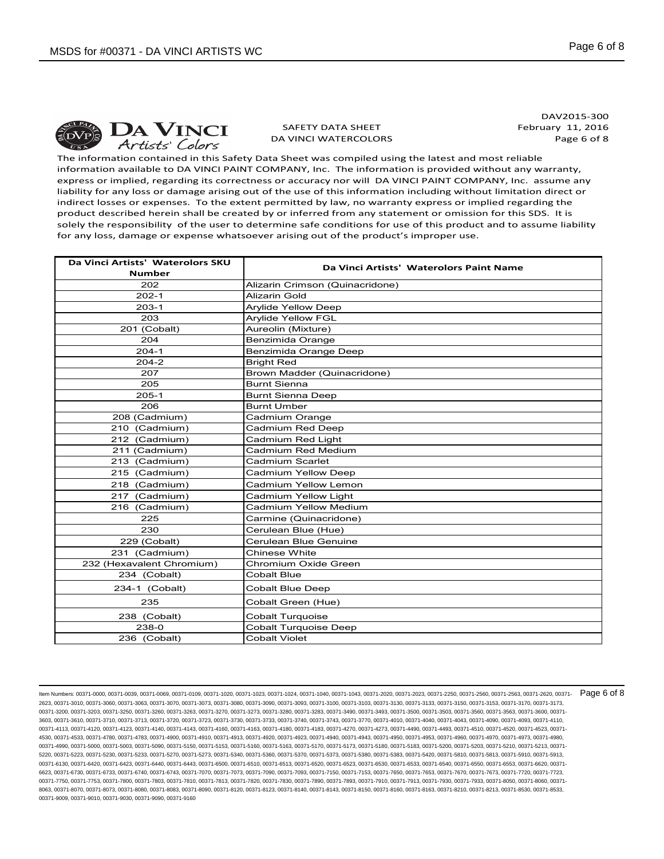

SAFETY DATA SHEET DA VINCI WATERCOLORS

DAV2015-300 February 11, 2016 Page 6 of 8

The information contained in this Safety Data Sheet was compiled using the latest and most reliable information available to DA VINCI PAINT COMPANY, Inc. The information is provided without any warranty, express or implied, regarding its correctness or accuracy nor will DA VINCI PAINT COMPANY, Inc. assume any liability for any loss or damage arising out of the use of this information including without limitation direct or indirect losses or expenses. To the extent permitted by law, no warranty express or implied regarding the product described herein shall be created by or inferred from any statement or omission for this SDS. It is solely the responsibility of the user to determine safe conditions for use of this product and to assume liability for any loss, damage or expense whatsoever arising out of the product's improper use.

| Da Vinci Artists' Waterolors SKU | Da Vinci Artists' Waterolors Paint Name |
|----------------------------------|-----------------------------------------|
| <b>Number</b>                    |                                         |
| 202                              | Alizarin Crimson (Quinacridone)         |
| $202 - 1$                        | <b>Alizarin Gold</b>                    |
| $203-1$                          | <b>Arylide Yellow Deep</b>              |
| 203                              | <b>Arylide Yellow FGL</b>               |
| 201 (Cobalt)                     | Aureolin (Mixture)                      |
| 204                              | Benzimida Orange                        |
| $204-1$                          | Benzimida Orange Deep                   |
| $204 - 2$                        | <b>Bright Red</b>                       |
| 207                              | Brown Madder (Quinacridone)             |
| 205                              | <b>Burnt Sienna</b>                     |
| $205-1$                          | <b>Burnt Sienna Deep</b>                |
| 206                              | <b>Burnt Umber</b>                      |
| 208 (Cadmium)                    | Cadmium Orange                          |
| 210 (Cadmium)                    | Cadmium Red Deep                        |
| 212 (Cadmium)                    | Cadmium Red Light                       |
| 211 (Cadmium)                    | Cadmium Red Medium                      |
| 213 (Cadmium)                    | Cadmium Scarlet                         |
| 215 (Cadmium)                    | Cadmium Yellow Deep                     |
| 218 (Cadmium)                    | Cadmium Yellow Lemon                    |
| 217 (Cadmium)                    | Cadmium Yellow Light                    |
| 216 (Cadmium)                    | Cadmium Yellow Medium                   |
| 225                              | Carmine (Quinacridone)                  |
| 230                              | Cerulean Blue (Hue)                     |
| 229 (Cobalt)                     | Cerulean Blue Genuine                   |
| 231 (Cadmium)                    | Chinese White                           |
| 232 (Hexavalent Chromium)        | Chromium Oxide Green                    |
| 234 (Cobalt)                     | <b>Cobalt Blue</b>                      |
| 234-1 (Cobalt)                   | Cobalt Blue Deep                        |
| 235                              | Cobalt Green (Hue)                      |
| 238 (Cobalt)                     | <b>Cobalt Turquoise</b>                 |
| 238-0                            | Cobalt Turquoise Deep                   |
| 236 (Cobalt)                     | <b>Cobalt Violet</b>                    |

ltem Numbers: 00371-0000, 00371-0039, 00371-0069, 00371-0109, 00371-1020, 00371-1023, 00371-1024, 00371-1040, 00371-2020, 00371-2020, 00371-2023, 00371-2250, 00371-2560, 00371-2563, 00371-25620, 00371-2680, 00371-2680, 003 2623, 00371-3010, 00371-3060, 00371-3063, 00371-3070, 00371-3073, 00371-3080, 00371-3090, 00371-3093, 00371-3100, 00371-3103, 00371-3130, 00371-3133, 00371-3150, 00371-3153, 00371-3170, 00371-3173, 00371-3200, 00371-3203, 00371-3250, 00371-3260, 00371-3263, 00371-3270, 00371-3273, 00371-3280, 00371-3283, 00371-3490, 00371-3493, 00371-3500, 00371-3503, 00371-3560, 00371-3563, 00371-3600, 00371- 3603, 00371-3610, 00371-3710, 00371-3713, 00371-3720, 00371-3723, 00371-3730, 00371-3733, 00371-3740, 00371-3743, 00371-3770, 00371-4010, 00371-4040, 00371-4043, 00371-4090, 00371-4093, 00371-4110, 00371-4113, 00371-4120, 00371-4123, 00371-4140, 00371-4143, 00371-4160, 00371-4163, 00371-4183, 00371-4218, 00371-4270, 00371-4273, 00371-4430, 00371-4493, 00371-4510, 00371-4520, 00371-4523, 00371-4520, 00371-4523, 00371-4 4530, 00371-4533, 00371-4780, 00371-4783, 00371-4900, 00371-4910, 00371-4913, 00371-4920, 00371-4923, 00371-4940, 00371-4943, 00371-4950, 00371-4953, 00371-4960, 00371-4970, 00371-4973, 00371-4980, 00371-4990, 00371-5000, 00371-5003, 00371-5090, 00371-5150, 00371-5153, 00371-5163, 00371-5170, 00371-5173, 00371-5183, 00371-5183, 00371-5200, 00371-5203, 00371-5213, 00371-5213, 00371-5120, 00371-5210, 00371-5213, 00371-5 5220, 00371-5223, 00371-5230, 00371-5233, 00371-5270, 00371-5273, 00371-5340, 00371-5360, 00371-5370, 00371-5373, 00371-5380, 00371-5383, 00371-5420, 00371-5810, 00371-5813, 00371-5910, 00371-5913, 00371-6130, 00371-6420, 00371-6423, 00371-6440, 00371-6443, 00371-6500, 00371-6510, 00371-6520, 00371-6520, 00371-6530, 00371-6533, 00371-6540, 00371-6540, 00371-6550, 00371-6520, 00371-6520, 00371-6520, 00371-6520, 00371-6 6623, 00371-6730, 00371-6733, 00371-6740, 00371-6743, 00371-7070, 00371-7073, 00371-7090, 00371-7093, 00371-7150, 00371-7153, 00371-7550, 00371-7650, 00371-7670, 00371-7673, 00371-7620, 00371-763, 00371-7620, 00371-7720, 00 00371-7750, 00371-7753, 00371-7800, 00371-7803, 00371-7810, 00371-7813, 00371-7820, 00371-7830, 00371-7890, 00371-7893, 00371-7910, 00371-7913, 00371-7930, 00371-7933, 00371-8050, 00371-8060, 00371- 8063, 00371-8070, 00371-8073, 00371-8080, 00371-8083, 00371-8090, 00371-8120, 00371-8123, 00371-8140, 00371-8143, 00371-8150, 00371-8160, 00371-8163, 00371-8210, 00371-8213, 00371-8530, 00371-8533, 00371-9009, 00371-9010, 00371-9030, 00371-9090, 00371-9160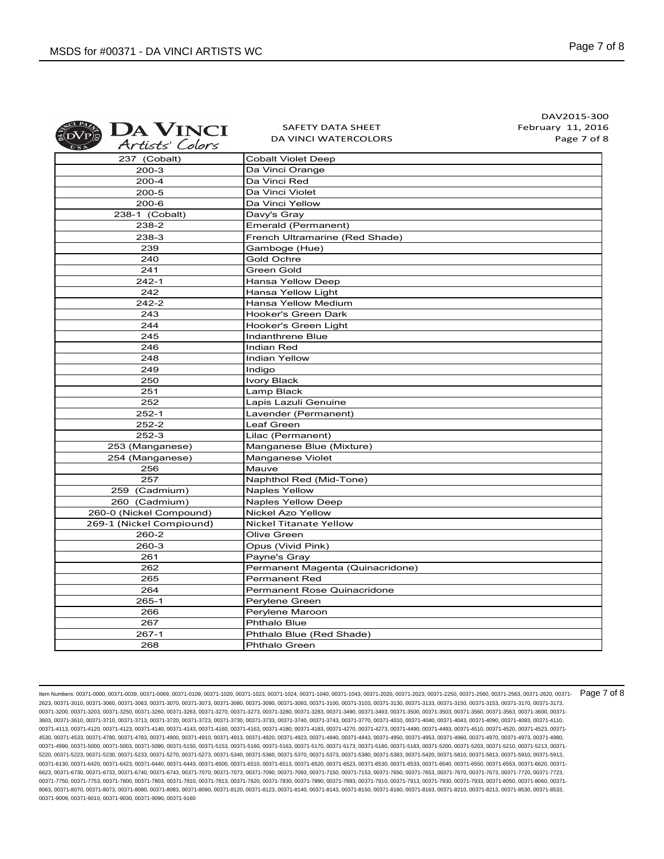| <b>EDA VINCI</b> |
|------------------|
| Artists' Colors  |

SAFETY DATA SHEET DA VINCI WATERCOLORS

DAV2015-300 February 11, 2016 Page 7 of 8

| 237 (Cobalt)             | <b>Cobalt Violet Deep</b>        |
|--------------------------|----------------------------------|
| 200-3                    | Da Vinci Orange                  |
| $200 - 4$                | Da Vinci Red                     |
| $200 - 5$                | Da Vinci Violet                  |
| $200 - 6$                | Da Vinci Yellow                  |
| 238-1 (Cobalt)           | Davy's Gray                      |
| 238-2                    | Emerald (Permanent)              |
| 238-3                    | French Ultramarine (Red Shade)   |
| 239                      | Gamboge (Hue)                    |
| 240                      | Gold Ochre                       |
| 241                      | Green Gold                       |
| $242 - 1$                | Hansa Yellow Deep                |
| 242                      | Hansa Yellow Light               |
| $242 - 2$                | Hansa Yellow Medium              |
| 243                      | Hooker's Green Dark              |
| 244                      | Hooker's Green Light             |
| 245                      | Indanthrene Blue                 |
| 246                      | <b>Indian Red</b>                |
| 248                      | Indian Yellow                    |
| 249                      | Indigo                           |
| 250                      | <b>Ivory Black</b>               |
| 251                      | Lamp Black                       |
| 252                      | Lapis Lazuli Genuine             |
| $252 - 1$                | Lavender (Permanent)             |
| $252 - 2$                | Leaf Green                       |
| $252-3$                  | Lilac (Permanent)                |
| 253 (Manganese)          | Manganese Blue (Mixture)         |
| 254 (Manganese)          | Manganese Violet                 |
| 256                      | Mauve                            |
| 257                      | Naphthol Red (Mid-Tone)          |
| 259 (Cadmium)            | <b>Naples Yellow</b>             |
| 260 (Cadmium)            | <b>Naples Yellow Deep</b>        |
| 260-0 (Nickel Compound)  | <b>Nickel Azo Yellow</b>         |
| 269-1 (Nickel Compiound) | Nickel Titanate Yellow           |
| 260-2                    | Olive Green                      |
| 260-3                    | Opus (Vivid Pink)                |
| 261                      | Payne's Gray                     |
| 262                      | Permanent Magenta (Quinacridone) |
| 265                      | <b>Permanent Red</b>             |
| 264                      | Permanent Rose Quinacridone      |
| 265-1                    | Perylene Green                   |
| 266                      | Perylene Maroon                  |
| 267                      | <b>Phthalo Blue</b>              |
| 267-1                    | Phthalo Blue (Red Shade)         |
| 268                      | Phthalo Green                    |

ltem Numbers: 00371-0000, 00371-0039, 00371-0069, 00371-0109, 00371-1020, 00371-1023, 00371-1024, 00371-1040, 00371-2020, 00371-2020, 00371-2023, 00371-2250, 00371-2560, 00371-2563, 00371-25620, 00371-2680, 00371-2680, 003 2623, 00371-3010, 00371-3060, 00371-3063, 00371-3070, 00371-3073, 00371-3080, 00371-3090, 00371-3093, 00371-3100, 00371-3103, 00371-3130, 00371-3133, 00371-3150, 00371-3153, 00371-3170, 00371-3173, 00371-3200, 00371-3203, 00371-3250, 00371-3260, 00371-3263, 00371-3270, 00371-3273, 00371-3280, 00371-3283, 00371-3490, 00371-3493, 00371-3500, 00371-3503, 00371-3560, 00371-3563, 00371-3600, 00371- 3603, 00371-3610, 00371-3710, 00371-3713, 00371-3720, 00371-3723, 00371-3730, 00371-3733, 00371-3740, 00371-3743, 00371-3770, 00371-4010, 00371-4040, 00371-4043, 00371-4090, 00371-4093, 00371-4110, 00371-4113, 00371-4120, 00371-4123, 00371-4140, 00371-4143, 00371-4160, 00371-4163, 00371-4183, 00371-4218, 00371-4270, 00371-4273, 00371-4430, 00371-4493, 00371-4510, 00371-4520, 00371-4523, 00371-4520, 00371-4523, 00371-4 4530, 00371-4533, 00371-4780, 00371-4783, 00371-4900, 00371-4910, 00371-4913, 00371-4920, 00371-4923, 00371-4940, 00371-4943, 00371-4950, 00371-4953, 00371-4960, 00371-4970, 00371-4973, 00371-4980, 00371-4990, 00371-5000, 00371-5003, 00371-5090, 00371-5150, 00371-5153, 00371-5163, 00371-5170, 00371-5173, 00371-5183, 00371-5183, 00371-5200, 00371-5203, 00371-5213, 00371-5213, 00371-5120, 00371-5210, 00371-5213, 00371-5 5220, 00371-5223, 00371-5230, 00371-5233, 00371-5270, 00371-5273, 00371-5340, 00371-5360, 00371-5370, 00371-5373, 00371-5380, 00371-5383, 00371-5420, 00371-5810, 00371-5813, 00371-5910, 00371-5913, 00371-6130, 00371-6420, 00371-6423, 00371-6440, 00371-6443, 00371-6500, 00371-6510, 00371-6520, 00371-6520, 00371-6530, 00371-6533, 00371-6540, 00371-6540, 00371-6550, 00371-6520, 00371-6520, 00371-6520, 00371-6520, 00371-6 6623, 00371-6730, 00371-6733, 00371-6740, 00371-6743, 00371-7070, 00371-7073, 00371-7090, 00371-7093, 00371-7150, 00371-7153, 00371-7650, 00371-7653, 00371-670, 00371-7673, 00371-7720, 00371-763, 00371-7873, 00371-7720, 003 00371-7750, 00371-7753, 00371-7800, 00371-7803, 00371-7810, 00371-7813, 00371-7820, 00371-7830, 00371-7890, 00371-7893, 00371-7910, 00371-7913, 00371-7930, 00371-7933, 00371-8050, 00371-8060, 00371- 8063, 00371-8070, 00371-8073, 00371-8080, 00371-8083, 00371-8090, 00371-8120, 00371-8123, 00371-8140, 00371-8143, 00371-8150, 00371-8160, 00371-8163, 00371-8210, 00371-8213, 00371-8530, 00371-8533, 00371-9009, 00371-9010, 00371-9030, 00371-9090, 00371-9160